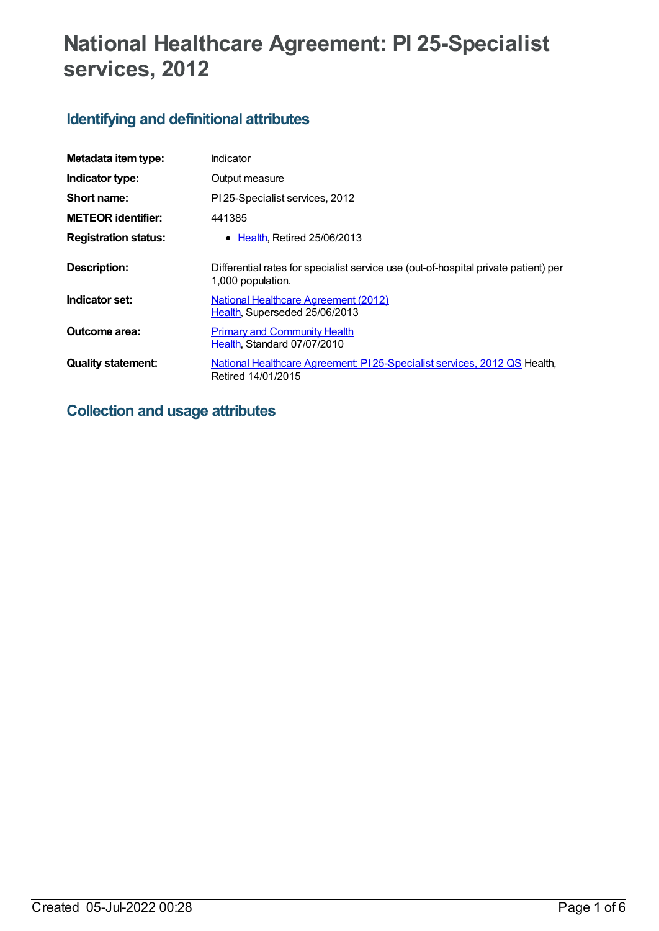# **National Healthcare Agreement: PI 25-Specialist services, 2012**

# **Identifying and definitional attributes**

| Metadata item type:         | Indicator                                                                                                |
|-----------------------------|----------------------------------------------------------------------------------------------------------|
| Indicator type:             | Output measure                                                                                           |
| Short name:                 | PI 25-Specialist services, 2012                                                                          |
| <b>METEOR</b> identifier:   | 441385                                                                                                   |
| <b>Registration status:</b> | $\bullet$ Health, Retired 25/06/2013                                                                     |
| Description:                | Differential rates for specialist service use (out-of-hospital private patient) per<br>1,000 population. |
| Indicator set:              | <b>National Healthcare Agreement (2012)</b><br>Health, Superseded 25/06/2013                             |
| Outcome area:               | <b>Primary and Community Health</b><br>Health, Standard 07/07/2010                                       |
| <b>Quality statement:</b>   | National Healthcare Agreement: PI 25-Specialist services, 2012 QS Health,<br>Retired 14/01/2015          |

# **Collection and usage attributes**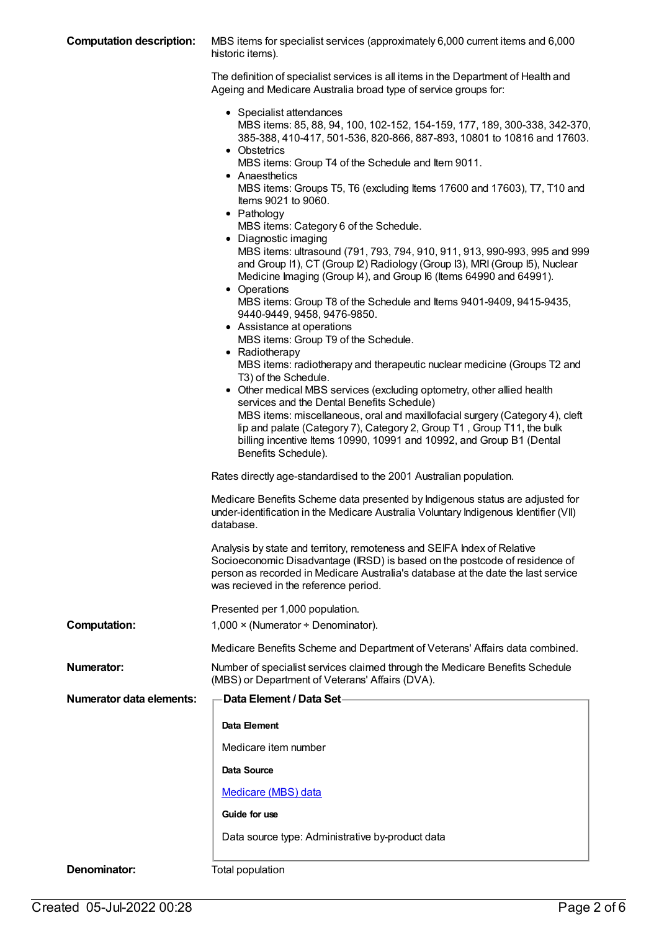| <b>Computation description:</b> | MBS items for specialist services (approximately 6,000 current items and 6,000<br>historic items).                                                                                                                                                                                                                                                                                                                                                                                                                                                                                                                                                                                                                                                                                                                                                                                                                                                                                                                                                                                                                                                                                                                                                                                                                                                                                            |  |
|---------------------------------|-----------------------------------------------------------------------------------------------------------------------------------------------------------------------------------------------------------------------------------------------------------------------------------------------------------------------------------------------------------------------------------------------------------------------------------------------------------------------------------------------------------------------------------------------------------------------------------------------------------------------------------------------------------------------------------------------------------------------------------------------------------------------------------------------------------------------------------------------------------------------------------------------------------------------------------------------------------------------------------------------------------------------------------------------------------------------------------------------------------------------------------------------------------------------------------------------------------------------------------------------------------------------------------------------------------------------------------------------------------------------------------------------|--|
|                                 | The definition of specialist services is all items in the Department of Health and<br>Ageing and Medicare Australia broad type of service groups for:                                                                                                                                                                                                                                                                                                                                                                                                                                                                                                                                                                                                                                                                                                                                                                                                                                                                                                                                                                                                                                                                                                                                                                                                                                         |  |
|                                 | • Specialist attendances<br>MBS items: 85, 88, 94, 100, 102-152, 154-159, 177, 189, 300-338, 342-370,<br>385-388, 410-417, 501-536, 820-866, 887-893, 10801 to 10816 and 17603.<br>• Obstetrics<br>MBS items: Group T4 of the Schedule and Item 9011.<br>• Anaesthetics<br>MBS items: Groups T5, T6 (excluding Items 17600 and 17603), T7, T10 and<br>Items 9021 to 9060.<br>• Pathology<br>MBS items: Category 6 of the Schedule.<br>• Diagnostic imaging<br>MBS items: ultrasound (791, 793, 794, 910, 911, 913, 990-993, 995 and 999<br>and Group I1), CT (Group I2) Radiology (Group I3), MRI (Group I5), Nuclear<br>Medicine Imaging (Group I4), and Group I6 (Items 64990 and 64991).<br>• Operations<br>MBS items: Group T8 of the Schedule and Items 9401-9409, 9415-9435,<br>9440-9449, 9458, 9476-9850.<br>• Assistance at operations<br>MBS items: Group T9 of the Schedule.<br>• Radiotherapy<br>MBS items: radiotherapy and therapeutic nuclear medicine (Groups T2 and<br>T3) of the Schedule.<br>• Other medical MBS services (excluding optometry, other allied health<br>services and the Dental Benefits Schedule)<br>MBS items: miscellaneous, oral and maxillofacial surgery (Category 4), cleft<br>lip and palate (Category 7), Category 2, Group T1, Group T11, the bulk<br>billing incentive Items 10990, 10991 and 10992, and Group B1 (Dental<br>Benefits Schedule). |  |
|                                 | Rates directly age-standardised to the 2001 Australian population.<br>Medicare Benefits Scheme data presented by Indigenous status are adjusted for                                                                                                                                                                                                                                                                                                                                                                                                                                                                                                                                                                                                                                                                                                                                                                                                                                                                                                                                                                                                                                                                                                                                                                                                                                           |  |
|                                 | under-identification in the Medicare Australia Voluntary Indigenous Identifier (VII)<br>database                                                                                                                                                                                                                                                                                                                                                                                                                                                                                                                                                                                                                                                                                                                                                                                                                                                                                                                                                                                                                                                                                                                                                                                                                                                                                              |  |
|                                 | Analysis by state and territory, remoteness and SEIFA Index of Relative<br>Socioeconomic Disadvantage (IRSD) is based on the postcode of residence of<br>person as recorded in Medicare Australia's database at the date the last service<br>was recieved in the reference period.                                                                                                                                                                                                                                                                                                                                                                                                                                                                                                                                                                                                                                                                                                                                                                                                                                                                                                                                                                                                                                                                                                            |  |
|                                 | Presented per 1,000 population.                                                                                                                                                                                                                                                                                                                                                                                                                                                                                                                                                                                                                                                                                                                                                                                                                                                                                                                                                                                                                                                                                                                                                                                                                                                                                                                                                               |  |
| <b>Computation:</b>             | $1,000 \times (Numerator + Denominator).$                                                                                                                                                                                                                                                                                                                                                                                                                                                                                                                                                                                                                                                                                                                                                                                                                                                                                                                                                                                                                                                                                                                                                                                                                                                                                                                                                     |  |
|                                 | Medicare Benefits Scheme and Department of Veterans' Affairs data combined.                                                                                                                                                                                                                                                                                                                                                                                                                                                                                                                                                                                                                                                                                                                                                                                                                                                                                                                                                                                                                                                                                                                                                                                                                                                                                                                   |  |
| Numerator:                      | Number of specialist services claimed through the Medicare Benefits Schedule<br>(MBS) or Department of Veterans' Affairs (DVA).                                                                                                                                                                                                                                                                                                                                                                                                                                                                                                                                                                                                                                                                                                                                                                                                                                                                                                                                                                                                                                                                                                                                                                                                                                                               |  |
| <b>Numerator data elements:</b> | -Data Element / Data Set                                                                                                                                                                                                                                                                                                                                                                                                                                                                                                                                                                                                                                                                                                                                                                                                                                                                                                                                                                                                                                                                                                                                                                                                                                                                                                                                                                      |  |
|                                 | Data Element                                                                                                                                                                                                                                                                                                                                                                                                                                                                                                                                                                                                                                                                                                                                                                                                                                                                                                                                                                                                                                                                                                                                                                                                                                                                                                                                                                                  |  |
|                                 | Medicare item number                                                                                                                                                                                                                                                                                                                                                                                                                                                                                                                                                                                                                                                                                                                                                                                                                                                                                                                                                                                                                                                                                                                                                                                                                                                                                                                                                                          |  |
|                                 | Data Source                                                                                                                                                                                                                                                                                                                                                                                                                                                                                                                                                                                                                                                                                                                                                                                                                                                                                                                                                                                                                                                                                                                                                                                                                                                                                                                                                                                   |  |
|                                 | <b>Medicare (MBS) data</b>                                                                                                                                                                                                                                                                                                                                                                                                                                                                                                                                                                                                                                                                                                                                                                                                                                                                                                                                                                                                                                                                                                                                                                                                                                                                                                                                                                    |  |
|                                 | Guide for use                                                                                                                                                                                                                                                                                                                                                                                                                                                                                                                                                                                                                                                                                                                                                                                                                                                                                                                                                                                                                                                                                                                                                                                                                                                                                                                                                                                 |  |
|                                 | Data source type: Administrative by-product data                                                                                                                                                                                                                                                                                                                                                                                                                                                                                                                                                                                                                                                                                                                                                                                                                                                                                                                                                                                                                                                                                                                                                                                                                                                                                                                                              |  |
|                                 |                                                                                                                                                                                                                                                                                                                                                                                                                                                                                                                                                                                                                                                                                                                                                                                                                                                                                                                                                                                                                                                                                                                                                                                                                                                                                                                                                                                               |  |

**Denominator:** Total population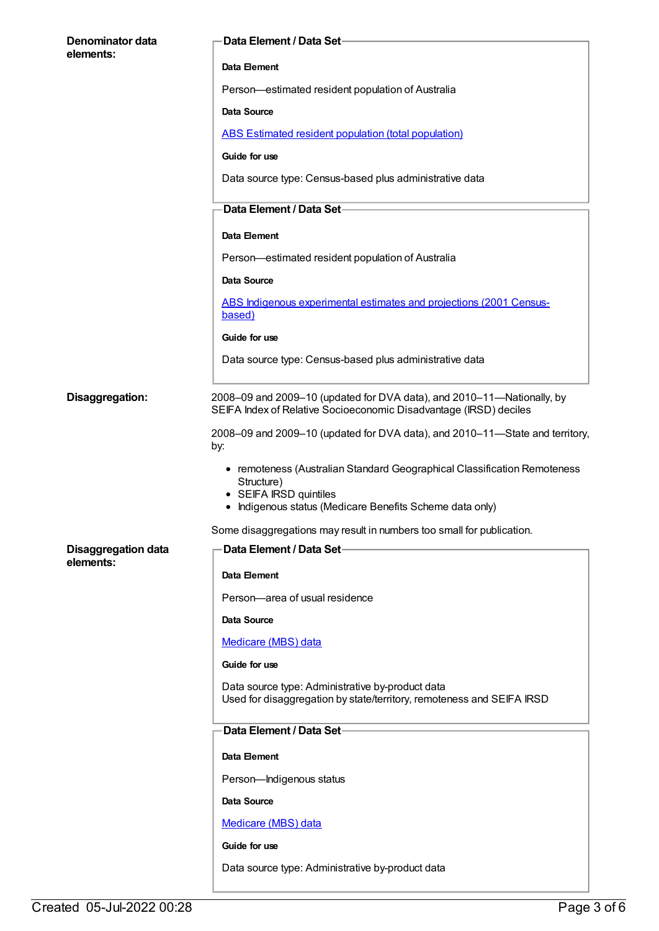| <b>Denominator data</b>    | Data Element / Data Set-                                                                                                                                                     |
|----------------------------|------------------------------------------------------------------------------------------------------------------------------------------------------------------------------|
| elements:                  | Data Element                                                                                                                                                                 |
|                            | Person-estimated resident population of Australia                                                                                                                            |
|                            | Data Source                                                                                                                                                                  |
|                            | ABS Estimated resident population (total population)                                                                                                                         |
|                            | Guide for use                                                                                                                                                                |
|                            | Data source type: Census-based plus administrative data                                                                                                                      |
|                            | <b>Data Element / Data Set-</b>                                                                                                                                              |
|                            | Data Element                                                                                                                                                                 |
|                            | Person-estimated resident population of Australia                                                                                                                            |
|                            | <b>Data Source</b>                                                                                                                                                           |
|                            | ABS Indigenous experimental estimates and projections (2001 Census-<br>based)                                                                                                |
|                            | Guide for use                                                                                                                                                                |
|                            | Data source type: Census-based plus administrative data                                                                                                                      |
| Disaggregation:            | 2008–09 and 2009–10 (updated for DVA data), and 2010–11—Nationally, by<br>SEIFA Index of Relative Socioeconomic Disadvantage (IRSD) deciles                                  |
|                            | 2008–09 and 2009–10 (updated for DVA data), and 2010–11–State and territory,<br>by:                                                                                          |
|                            | • remoteness (Australian Standard Geographical Classification Remoteness<br>Structure)<br>• SEIFA IRSD quintiles<br>• Indigenous status (Medicare Benefits Scheme data only) |
|                            | Some disaggregations may result in numbers too small for publication.                                                                                                        |
| <b>Disaggregation data</b> | Data Element / Data Set-                                                                                                                                                     |
| elements:                  | Data Element                                                                                                                                                                 |
|                            | Person-area of usual residence                                                                                                                                               |
|                            | <b>Data Source</b>                                                                                                                                                           |
|                            | Medicare (MBS) data                                                                                                                                                          |
|                            | Guide for use                                                                                                                                                                |
|                            | Data source type: Administrative by-product data<br>Used for disaggregation by state/territory, remoteness and SEIFA IRSD                                                    |
|                            |                                                                                                                                                                              |
|                            | Data Element / Data Set-                                                                                                                                                     |
|                            | Data Element                                                                                                                                                                 |
|                            | Person-Indigenous status                                                                                                                                                     |
|                            | <b>Data Source</b>                                                                                                                                                           |
|                            | Medicare (MBS) data                                                                                                                                                          |
|                            | Guide for use                                                                                                                                                                |
|                            | Data source type: Administrative by-product data                                                                                                                             |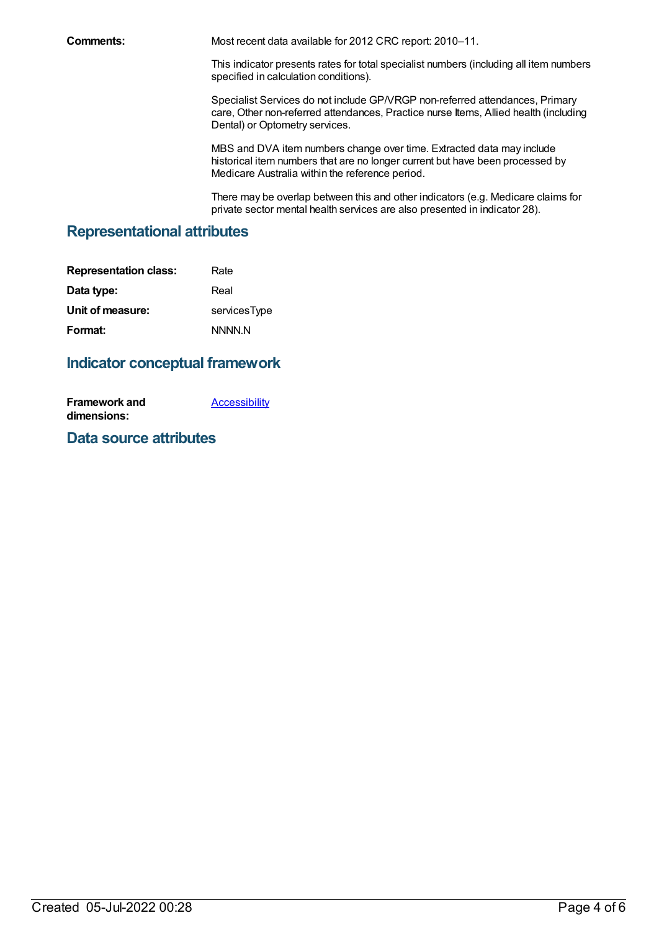**Comments:** Most recent data available for 2012 CRC report: 2010–11.

This indicator presents rates for total specialist numbers (including all item numbers specified in calculation conditions).

Specialist Services do not include GP/VRGP non-referred attendances, Primary care, Other non-referred attendances, Practice nurse Items, Allied health (including Dental) or Optometry services.

MBS and DVA item numbers change over time. Extracted data may include historical item numbers that are no longer current but have been processed by Medicare Australia within the reference period.

There may be overlap between this and other indicators (e.g. Medicare claims for private sector mental health services are also presented in indicator 28).

## **Representational attributes**

| <b>Representation class:</b> | Rate         |
|------------------------------|--------------|
| Data type:                   | Real         |
| Unit of measure:             | servicesType |
| Format:                      | NNNN N       |

## **Indicator conceptual framework**

**Framework and dimensions: [Accessibility](https://meteor.aihw.gov.au/content/392591)** 

## **Data source attributes**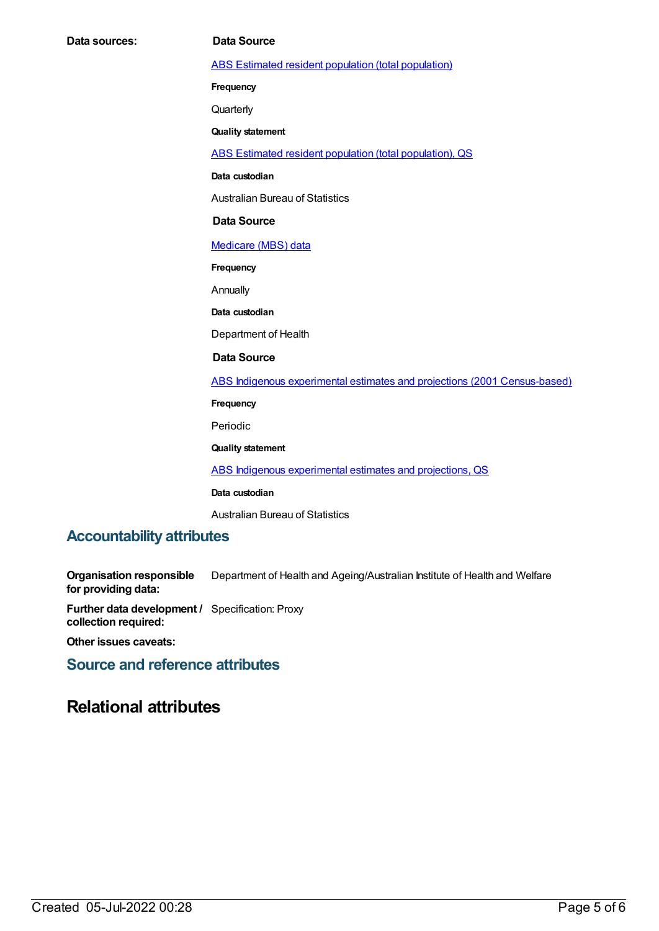ABS Estimated resident population (total [population\)](https://meteor.aihw.gov.au/content/393625)

**Frequency**

**Quarterly** 

**Quality statement**

ABS Estimated resident population (total [population\),](https://meteor.aihw.gov.au/content/449216) QS

**Data custodian**

Australian Bureau of Statistics

### **Data Source**

[Medicare](https://meteor.aihw.gov.au/content/394305) (MBS) data

**Frequency**

Annually

**Data custodian**

Department of Health

### **Data Source**

ABS Indigenous experimental estimates and projections (2001 [Census-based\)](https://meteor.aihw.gov.au/content/394092)

**Frequency**

Periodic

**Quality statement**

ABS Indigenous [experimental](https://meteor.aihw.gov.au/content/449223) estimates and projections, QS

**Data custodian**

Australian Bureau of Statistics

### **Accountability attributes**

**Organisation responsible for providing data:** Department of Health and Ageing/Australian Institute of Health and Welfare

**Further data development /** Specification: Proxy **collection required:**

**Other issues caveats:**

**Source and reference attributes**

## **Relational attributes**